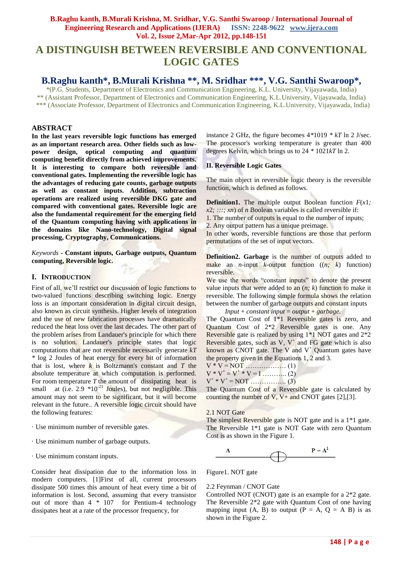# **A DISTINGUISH BETWEEN REVERSIBLE AND CONVENTIONAL LOGIC GATES**

## **B.Raghu kanth\*, B.Murali Krishna \*\*, M. Sridhar \*\*\*, V.G. Santhi Swaroop\*,**

\*(P.G. Students, Department of Electronics and Communication Engineering, K.L. University, Vijayawada, India) \*\* (Assistant Professor, Department of Electronics and Communication Engineering, K.L.University, Vijayawada, India) \*\*\* (Associate Professor, Department of Electronics and Communication Engineering, K.L.University, Vijayawada, India)

#### **ABSTRACT**

**In the last years reversible logic functions has emerged as an important research area. Other fields such as lowpower design, optical computing and quantum computing benefit directly from achieved improvements. It is interesting to compare both reversible and conventional gates. Implementing the reversible logic has the advantages of reducing gate counts, garbage outputs as well as constant inputs. Addition, subtraction operations are realized using reversible DKG gate and compared with conventional gates. Reversible logic are also the fundamental requirement for the emerging field of the Quantum computing having with applications in the domains like Nano-technology, Digital signal processing, Cryptography, Communications.** 

*Keywords* **- Constant inputs, Garbage outputs, Quantum computing, Reversible logic.**

#### **I. INTRODUCTION**

First of all, we"ll restrict our discussion of logic functions to two-valued functions describing switching logic. Energy loss is an important consideration in digital circuit design, also known as circuit synthesis. Higher levels of integration and the use of new fabrication processes have dramatically reduced the heat loss over the last decades. The other part of the problem arises from Landauer's principle for which there is no solution. Landauer's principle states that logic computations that are not reversible necessarily generate *kT \** log 2 Joules of heat energy for every bit of information that is lost, where *k* is Boltzmann's constant and *T* the absolute temperature at which computation is performed. For room temperature  $T$  the amount of dissipating heat is small at (i.e.  $2.9 \times 10^{-21}$  Joules), but not negligible. This amount may not seem to be significant, but it will become relevant in the future.. A reversible logic circuit should have the following features:

- · Use minimum number of reversible gates.
- · Use minimum number of garbage outputs.
- · Use minimum constant inputs.

Consider heat dissipation due to the information loss in modern computers. [1]First of all, current processors dissipate 500 times this amount of heat every time a bit of information is lost. Second, assuming that every transistor out of more than 4 *\** 107 for Pentium-4 technology dissipates heat at a rate of the processor frequency, for

instance 2 GHz, the figure becomes 4*\**1019 *\* kT* ln 2 J/sec. The processor's working temperature is greater than 400 degrees Kelvin, which brings us to 24 *\** 1021*kT* ln 2.

#### **II. Reversible Logic Gates**

The main object in reversible logic theory is the reversible function, which is defined as follows.

**Definition1.** The multiple output Boolean function *F*(*x*1*;*   $x2$ *; :::; xn*) of *n* Boolean variables is called reversible if:

1. The number of outputs is equal to the number of inputs;

2. Any output pattern has a unique preimage.

In other words, reversible functions are those that perform permutations of the set of input vectors.

**Definition2. Garbage** is the number of outputs added to make an *n*-input *k*-output function  $((n; k)$  function) reversible.

We use the words "constant inputs" to denote the present value inputs that were added to an (*n; k*) function to make it reversible. The following simple formula shows the relation between the number of garbage outputs and constant inputs

*Input + constant input =*  $output + garbage$ *.* 

The Quantum Cost of 1\*1 Reversible gates is zero, and Quantum Cost of 2\*2 Reversible gates is one. Any Reversible gate is realized by using 1\*1 NOT gates and 2\*2 Reversible gates, such as  $V$ ,  $V^+$  and FG gate which is also known as CNOT gate. The V and  $V^+$  Quantum gates have the property given in the Equations 1, 2 and 3.

$$
V * V = NOT
$$
 (1)  

$$
V * V^{+} = V^{+} * V = I
$$
 (2)  

$$
V^{+} * V^{+} = NOT
$$
 (3)

The Quantum Cost of a Reversible gate is calculated by counting the number of V,  $V_+$  and CNOT gates [2],[3].

#### 2.1 NOT Gate

The simplest Reversible gate is NOT gate and is a 1\*1 gate. The Reversible 1\*1 gate is NOT Gate with zero Quantum Cost is as shown in the Figure 1.



Figure1. NOT gate

#### 2.2 Feynman / CNOT Gate

Controlled NOT (CNOT) gate is an example for a 2\*2 gate. The Reversible 2\*2 gate with Quantum Cost of one having mapping input  $(A, B)$  to output  $(P = A, Q = A B)$  is as shown in the Figure 2.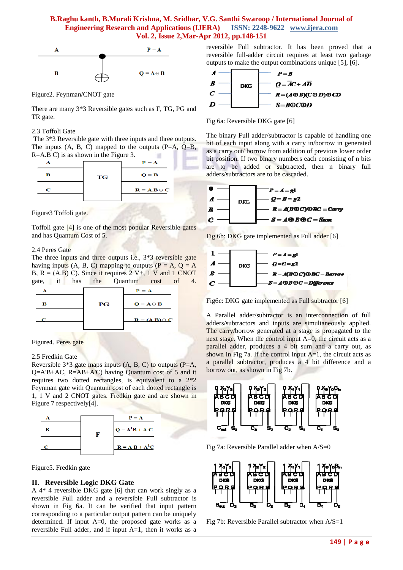

Figure2. Feynman/CNOT gate

There are many 3\*3 Reversible gates such as F, TG, PG and TR gate.

#### 2.3 Toffoli Gate

The 3\*3 Reversible gate with three inputs and three outputs. The inputs  $(A, B, C)$  mapped to the outputs  $(P=A, Q=B, P)$ R=A.B C) is as shown in the Figure 3.  $\sim$ 

|   |           | $P = A$                   |  |
|---|-----------|---------------------------|--|
| в | <b>TG</b> | $\mathbf{Q} = \mathbf{B}$ |  |
| С |           | $R = A.B \oplus C$        |  |
|   |           |                           |  |

Figure3 Toffoli gate.

Toffoli gate [4] is one of the most popular Reversible gates and has Quantum Cost of 5.

#### 2.4 Peres Gate

The three inputs and three outputs i.e., 3\*3 reversible gate having inputs (A, B, C) mapping to outputs ( $P = A$ ,  $Q = A$ B,  $R = (A.B) C$ . Since it requires 2 V+, 1 V and 1 CNOT gate, it has the Quantum cost of 4.

|   |         | $P = A$                                                  |
|---|---------|----------------------------------------------------------|
| R | $_{PG}$ | $\mathbf{Q} = \mathbf{A} \oplus \mathbf{B}$              |
|   |         | $\mathbf{R} = (\mathbf{A}.\mathbf{B}) \oplus \mathbf{C}$ |

Figure4. Peres gate

#### 2.5 Fredkin Gate

Reversible  $3*3$  gate maps inputs  $(A, B, C)$  to outputs  $(P=A,$ Q=A'B+AC, R=AB+A'C) having Quantum cost of 5 and it requires two dotted rectangles, is equivalent to a 2\*2 Feynman gate with Quantum cost of each dotted rectangle is 1, 1 V and 2 CNOT gates. Fredkin gate and are shown in Figure 7 respectively[4].



Figure5. Fredkin gate

#### **II. Reversible Logic DKG Gate**

A 4\* 4 reversible DKG gate [6] that can work singly as a reversible Full adder and a reversible Full subtractor is shown in Fig 6a. It can be verified that input pattern corresponding to a particular output pattern can be uniquely determined. If input A=0, the proposed gate works as a reversible Full adder, and if input A=1, then it works as a reversible Full subtractor. It has been proved that a reversible full-adder circuit requires at least two garbage outputs to make the output combinations unique [5], [6].





The binary Full adder/subtractor is capable of handling one bit of each input along with a carry in/borrow in generated as a carry out/ borrow from addition of previous lower order bit position. If two binary numbers each consisting of n bits are to be added or subtracted, then n binary full adders/subtractors are to be cascaded.



Fig 6b: DKG gate implemented as Full adder [6]



Fig6c: DKG gate implemented as Full subtractor [6]

A Parallel adder/subtractor is an interconnection of full adders/subtractors and inputs are simultaneously applied. The carry/borrow generated at a stage is propagated to the next stage. When the control input A=0, the circuit acts as a parallel adder, produces a 4 bit sum and a carry out, as shown in Fig 7a. If the control input  $A=1$ , the circuit acts as a parallel subtractor, produces a 4 bit difference and a borrow out, as shown in Fig 7b.



Fig 7a: Reversible Parallel adder when A/S=0



Fig 7b: Reversible Parallel subtractor when A/S=1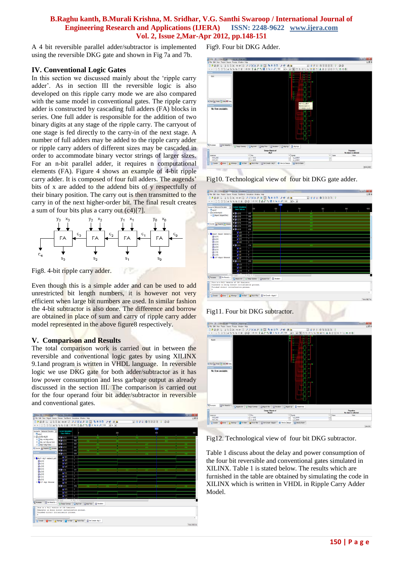A 4 bit reversible parallel adder/subtractor is implemented using the reversible DKG gate and shown in Fig 7a and 7b.

#### **IV. Conventional Logic Gates**

In this section we discussed mainly about the "ripple carry adder". As in section III the reversible logic is also developed on this ripple carry mode we are also compared with the same model in conventional gates. The ripple carry adder is constructed by cascading full adders (FA) blocks in series. One full adder is responsible for the addition of two binary digits at any stage of the ripple carry. The carryout of one stage is fed directly to the carry-in of the next stage. A number of full adders may be added to the ripple carry adder or ripple carry adders of different sizes may be cascaded in order to accommodate binary vector strings of larger sizes. For an n-bit parallel adder, it requires n computational elements (FA). Figure 4 shows an example of 4-bit ripple carry adder. It is composed of four full adders. The augends' bits of x are added to the addend bits of y respectfully of their binary position. The carry out is then transmitted to the carry in of the next higher-order bit. The final result creates a sum of four bits plus a carry out (c4)[7].



Fig8. 4-bit ripple carry adder.

Even though this is a simple adder and can be used to add unrestricted bit length numbers, it is however not very efficient when large bit numbers are used. In similar fashion the 4-bit subtractor is also done. The difference and borrow are obtained in place of sum and carry of ripple carry adder model represented in the above figure8 respectively.

rτ

## **V. Comparison and Results**

The total comparison work is carried out in between the reversible and conventional logic gates by using XILINX 9.1and program is written in VHDL language. In reversible logic we use DKG gate for both adder/subtractor as it has low power consumption and less garbage output as already discussed in the section III. The comparison is carried out for the four operand four bit adder/subtractor in reversible and conventional gates.



Fig9. Four bit DKG Adder.



Fig10. Technological view of four bit DKG gate adder.



## Fig11. Four bit DKG subtractor.



Fig12. Technological view of four bit DKG subtractor.

Table 1 discuss about the delay and power consumption of the four bit reversible and conventional gates simulated in XILINX. Table 1 is stated below. The results which are furnished in the table are obtained by simulating the code in XILINX which is written in VHDL in Ripple Carry Adder Model.